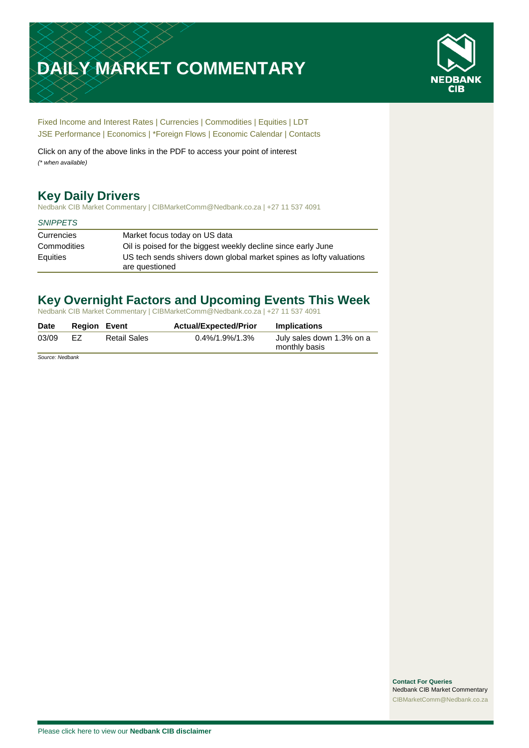# **DAILY MARKET COMMENTARY**



[Fixed Income and Interest Rates](#page-1-0) | [Currencies](#page-2-0) | [Commodities](#page-3-0) [| Equities](#page-4-0) | [LDT](#page-5-0) [JSE Performance](#page-6-0) [| Economics](#page-7-0) | \*Foreign Flows | [Economic Calendar](#page-7-0) | [Contacts](#page-8-0)

Click on any of the above links in the PDF to access your point of interest *(\* when available)*

# **Key Daily Drivers**

Nedbank CIB Market Commentary | CIBMarketComm@Nedbank.co.za | +27 11 537 4091

### *SNIPPETS*

| Currencies  | Market focus today on US data                                                         |
|-------------|---------------------------------------------------------------------------------------|
| Commodities | Oil is poised for the biggest weekly decline since early June                         |
| Equities    | US tech sends shivers down global market spines as lofty valuations<br>are questioned |

# **Key Overnight Factors and Upcoming Events This Week**

Nedbank CIB Market Commentary | CIBMarketComm@Nedbank.co.za | +27 11 537 4091

| <b>Date</b> | <b>Region Event</b> |                     | <b>Actual/Expected/Prior</b> | <b>Implications</b>                        |
|-------------|---------------------|---------------------|------------------------------|--------------------------------------------|
| 03/09       | FZ.                 | <b>Retail Sales</b> | 0.4%/1.9%/1.3%               | July sales down 1.3% on a<br>monthly basis |
|             |                     |                     |                              |                                            |

*Source: Nedbank*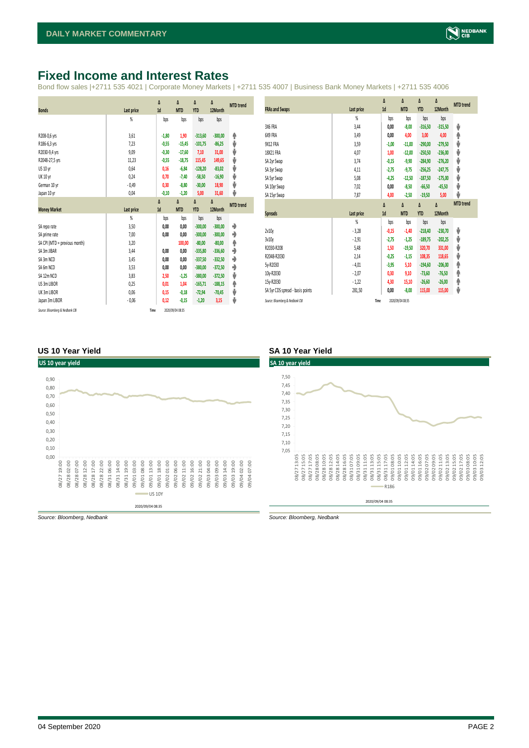# <span id="page-1-0"></span>**Fixed Income and Interest Rates**

Bond flow sales |+2711 535 4021 | Corporate Money Markets | +2711 535 4007 | Business Bank Money Markets | +2711 535 4006

|                                 |                   | Δ       | Δ                | Δ          | Δ         | <b>MTD</b> trend |
|---------------------------------|-------------------|---------|------------------|------------|-----------|------------------|
| <b>Bonds</b>                    | Last price        | 1d      | <b>MTD</b>       | <b>YTD</b> | 12Month   |                  |
|                                 | %                 | bps     | bps              | bps        | bps       |                  |
|                                 |                   |         |                  |            |           |                  |
| R208-0,6 yrs                    | 3,61              | $-1,80$ | 1,90             | $-313,60$  | $-300,00$ | ۸                |
| R186-6,3 yrs                    | 7,23              | $-0,55$ | $-15,45$         | $-101,75$  | $-86,25$  | ψ                |
| R2030-9,4 yrs                   | 9,09              | $-0,30$ | $-17,60$         | 7,10       | 31,00     | ψ                |
| R2048-27,5 yrs                  | 11,23             | $-0,55$ | $-18,75$         | 115,45     | 149,65    | ψ                |
| US 10 yr                        | 0,64              | 0,16    | $-6,84$          | $-128,20$  | $-83,02$  | ψ                |
| <b>UK 10 yr</b>                 | 0,24              | 0,70    | $-7,40$          | $-58,50$   | $-16,90$  | ψ                |
| German 10 yr                    | $-0,49$           | 0,30    | $-8,80$          | $-30,00$   | 18,90     | ψ                |
| Japan 10 yr                     | 0,04              | $-0,10$ | $-1,20$          | 5,00       | 31,60     | ψ                |
|                                 |                   | Δ       | Δ                | Δ          | Δ         | <b>MTD</b> trend |
| <b>Money Market</b>             | <b>Last price</b> | 1d      | <b>MTD</b>       | <b>YTD</b> | 12Month   |                  |
|                                 | $\frac{9}{20}$    | bps     | bps              | bps        | bps       |                  |
| SA reporate                     | 3,50              | 0,00    | 0,00             | $-300,00$  | $-300,00$ | ۰                |
| SA prime rate                   | 7,00              | 0,00    | 0,00             | $-300,00$  | $-300,00$ | ۰                |
| SA CPI (MTD = previous month)   | 3,20              |         | 100,00           | $-80,00$   | $-80,00$  | ۸                |
| SA 3m JIBAR                     | 3,44              | 0,00    | 0,00             | $-335,80$  | $-336,60$ | ٠                |
| SA 3m NCD                       | 3,45              | 0,00    | 0,00             | $-337.50$  | $-332,50$ | ۰                |
| SA 6m NCD                       | 3,53              | 0,00    | 0,00             | $-380,00$  | $-372,50$ | ٠                |
| SA 12m NCD                      | 3,83              | 2,50    | $-1,25$          | $-380,00$  | $-372,50$ | ψ                |
| US 3m LIBOR                     | 0,25              | 0,01    | 1,04             | $-165,71$  | $-188,15$ | ۸                |
| UK 3m LIBOR                     | 0,06              | 0,15    | $-0,18$          | $-72,94$   | $-70,45$  | ψ                |
| Japan 3m LIBOR                  | $-0,06$           | 0,12    | $-0.15$          | $-1,20$    | 3,15      | ψ                |
| Source: Bloomberg & Nedbank CIB | Time              |         | 2020/09/04 08:35 |            |           |                  |

|                                  |                | Δ       | Δ          | Δ          | Δ         | <b>MTD</b> trend |
|----------------------------------|----------------|---------|------------|------------|-----------|------------------|
| <b>FRAs and Swaps</b>            | Last price     | 1d      | <b>MTD</b> | <b>YTD</b> | 12Month   |                  |
|                                  | $\frac{9}{20}$ | bps     | bps        | bps        | bps       |                  |
| 3X6 FRA                          | 3,44           | 0.00    | $-8,00$    | $-316,50$  | $-315,50$ | ψ                |
| 6X9 FRA                          | 3,49           | 0,00    | 4,00       | 3,00       | 4,00      | Φ                |
| 9X12 FRA                         | 3,59           | $-1,00$ | $-11,00$   | $-290,00$  | $-279,50$ | V                |
| 18X21 FRA                        | 4,07           | 1,00    | $-12,00$   | $-250,50$  | $-236,00$ | V                |
| SA 2yr Swap                      | 3,74           | $-0.15$ | $-9,90$    | $-284,90$  | $-276,20$ | V                |
| SA 3yr Swap                      | 4,11           | $-2,75$ | $-9,75$    | $-256,25$  | $-247,75$ | J                |
| SA 5yr Swap                      | 5,08           | $-4,25$ | $-12,50$   | $-187,50$  | $-175,00$ | J                |
| SA 10yr Swap                     | 7,02           | 0,00    | $-8,50$    | $-66,50$   | $-45,50$  | J                |
| SA 15yr Swap                     | 7,87           | 4,00    | $-2,50$    | $-19,50$   | 5,00      | J                |
|                                  |                | Δ       | Δ          | Δ          | Δ         | <b>MTD</b> trend |
| <b>Spreads</b>                   | Last price     | 1d      | <b>MTD</b> | <b>YTD</b> | 12Month   |                  |
|                                  |                |         |            |            |           |                  |
|                                  | $\frac{9}{20}$ | bps     | bps        | bps        | bps       |                  |
| 2v10v                            | $-3,28$        | $-0,15$ | $-1,40$    | $-218,40$  | $-230,70$ | ψ                |
| 3v10v                            | $-2,91$        | $-2,75$ | $-1,25$    | $-189,75$  | $-202,25$ | J                |
| R2030-R208                       | 5,48           | 1,50    | $-19,50$   | 320,70     | 331,00    | V                |
| R2048-R2030                      | 2,14           | $-0,25$ | $-1,15$    | 108,35     | 118,65    | ⊎                |
| 5v-R2030                         | $-4,01$        | $-3,95$ | 5,10       | $-194,60$  | $-206,00$ | φ                |
| 10y-R2030                        | $-2,07$        | 0,30    | 9,10       | $-73,60$   | $-76,50$  | φ                |
| 15y-R2030                        | $-1,22$        | 4,30    | 15,10      | $-26,60$   | $-26,00$  | ♠                |
| SA 5yr CDS spread - basis points | 281,50         | 0,00    | $-8,00$    | 115,00     | 115,00    | ⊎                |

### **US 10 Year Yield SA 10 Year Yield**





*Source: Bloomberg, Nedbank Source: Bloomberg, Nedbank*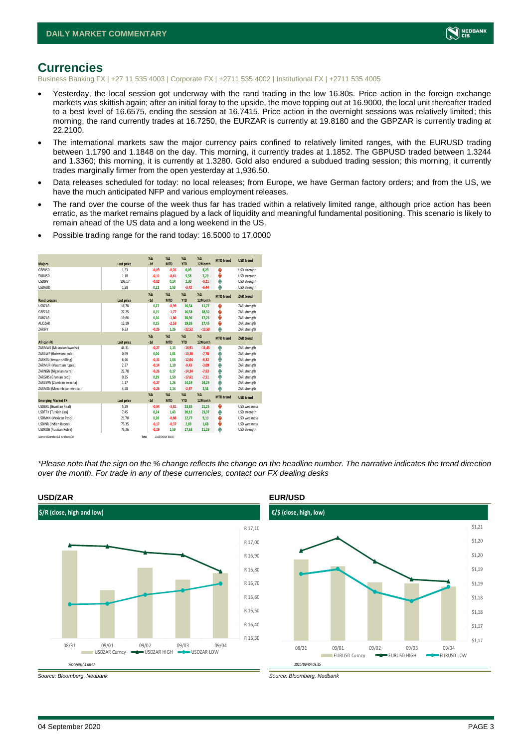

### <span id="page-2-0"></span>**Currencies**

Business Banking FX | +27 11 535 4003 | Corporate FX | +2711 535 4002 | Institutional FX | +2711 535 4005

- Yesterday, the local session got underway with the rand trading in the low 16.80s. Price action in the foreign exchange markets was skittish again; after an initial foray to the upside, the move topping out at 16.9000, the local unit thereafter traded to a best level of 16.6575, ending the session at 16.7415. Price action in the overnight sessions was relatively limited; this morning, the rand currently trades at 16.7250, the EURZAR is currently at 19.8180 and the GBPZAR is currently trading at 22.2100.
- The international markets saw the major currency pairs confined to relatively limited ranges, with the EURUSD trading between 1.1790 and 1.1848 on the day. This morning, it currently trades at 1.1852. The GBPUSD traded between 1.3244 and 1.3360; this morning, it is currently at 1.3280. Gold also endured a subdued trading session; this morning, it currently trades marginally firmer from the open yesterday at 1,936.50.
- Data releases scheduled for today: no local releases; from Europe, we have German factory orders; and from the US, we have the much anticipated NFP and various employment releases.
- The rand over the course of the week thus far has traded within a relatively limited range, although price action has been erratic, as the market remains plagued by a lack of liquidity and meaningful fundamental positioning. This scenario is likely to remain ahead of the US data and a long weekend in the US.

|                                 |            | X <sub>A</sub> | X <sub>A</sub>   | $% \Delta$ | $% \Delta$ | <b>MTD</b> trend | <b>USD trend</b>    |
|---------------------------------|------------|----------------|------------------|------------|------------|------------------|---------------------|
| <b>Majors</b>                   | Last price | $-1d$          | <b>MTD</b>       | <b>YTD</b> | 12Month    |                  |                     |
| GBPUSD                          | 1.33       | $-0,09$        | $-0.76$          | 0,09       | 8,29       | ÷                | USD strength        |
| <b>EURUSD</b>                   | 1.18       | $-0,11$        | $-0.81$          | 5,58       | 7.29       | ÷                | USD strength        |
| <b>USDJPY</b>                   | 106,17     | $-0.02$        | 0.24             | 2,30       | $-0,21$    | ٠                | USD strength        |
| <b>USDAUD</b>                   | 1,38       | 0,12           | 1,53             | $-3,42$    | $-6,44$    | A                | USD strength        |
|                                 |            | $X\Delta$      | X <sub>A</sub>   | $% \Delta$ | $% \Delta$ | <b>MTD</b> trend | <b>ZAR</b> trend    |
| <b>Rand crosses</b>             | Last price | $-1d$          | <b>MTD</b>       | <b>YTD</b> | 12Month    |                  |                     |
| <b>USDZAR</b>                   | 16,78      | 0.27           | $-0.99$          | 16,54      | 11.77      | v                | ZAR strength        |
| GBPZAR                          | 22,25      | 0,15           | $-1,77$          | 16,58      | 18,50      | v                | ZAR strength        |
| <b>FURZAR</b>                   | 19,86      | 0.16           | $-1.80$          | 20,96      | 17.76      | v                | ZAR strength        |
| AUDZAR                          | 12,19      | 0,15           | $-2,53$          | 19,26      | 17,45      | v                | ZAR strength        |
| ZARJPY                          | 6,33       | $-0.26$        | 1,26             | $-22,52$   | $-13,58$   | ٨                | ZAR strength        |
|                                 |            | $X\Delta$      | $X\Delta$        | $% \Delta$ | $% \Delta$ | <b>MTD</b> trend | <b>ZAR trend</b>    |
| <b>African FX</b>               | Last price | $-1d$          | <b>MTD</b>       | <b>YTD</b> | 12Month    |                  |                     |
| ZARMWK (Malawian kwacha)        | 44,31      | $-0,27$        | 1,13             | $-18,91$   | $-11,45$   | ٠                | ZAR strength        |
| ZARBWP (Botswana pula)          | 0.69       | 0.04           | 1.01             | $-10,38$   | $-7,78$    | ٠                | ZAR strength        |
| ZARKES (Kenyan shilling)        | 6,46       | $-0,31$        | 1.04             | $-12,04$   | $-8,32$    | ٠                | ZAR strength        |
| ZARMUR (Mauritian rupee)        | 2.37       | $-0.14$        | 1.10             | $-9.43$    | $-3.09$    | Α                | ZAR strength        |
| ZARNGN (Nigerian naira)         | 22,78      | $-0,26$        | 0,17             | $-14,34$   | $-7,63$    | ۸                | ZAR strength        |
| ZARGHS (Ghanian cedi)           | 0.35       | 0.29           | 1.50             | $-17,61$   | $-7.51$    | Α                | ZAR strength        |
| ZARZMW (Zambian kwacha)         | 1.17       | $-0,27$        | 1.26             | 14,19      | 24,29      | ÷                | ZAR strength        |
| ZARMZN (Mozambican metical)     | 4,28       | $-0,26$        | 1,14             | $-2,97$    | 2,51       | ۵                | ZAR strength        |
|                                 |            | X <sub>A</sub> | X <sub>A</sub>   | $% \Delta$ | $% \Delta$ | <b>MTD</b> trend | <b>USD</b> trend    |
| <b>Emerging Market FX</b>       | Last price | $-1d$          | <b>MTD</b>       | <b>YTD</b> | 12Month    |                  |                     |
| <b>USDBRL</b> (Brazilian Real)  | 5,29       | $-0.94$        | $-3,81$          | 23,85      | 21,25      | ÷                | <b>USD</b> weakness |
| USDTRY (Turkish Lira)           | 7,45       | 0,24           | 1,43             | 20,12      | 23,97      | ٠                | USD strength        |
| USDMXN (Mexican Peso)           | 21,70      | 0.20           | $-0.88$          | 12,77      | 9.10       | v                | <b>USD</b> weakness |
| <b>USDINR</b> (Indian Rupee)    | 73,35      | $-0,17$        | $-0,37$          | 2,69       | 1,68       | ÷                | <b>USD</b> weakness |
| <b>USDRUB (Russian Ruble)</b>   | 75,26      | $-0.19$        | 1.59             | 17,63      | 11,29      | Φ                | USD strength        |
| Source: Bloomberg & Nedbank CIB |            | Time           | 2020/09/04 08:35 |            |            |                  |                     |

• Possible trading range for the rand today: 16.5000 to 17.0000

*\*Please note that the sign on the % change reflects the change on the headline number. The narrative indicates the trend direction over the month. For trade in any of these currencies, contact our FX dealing desks*



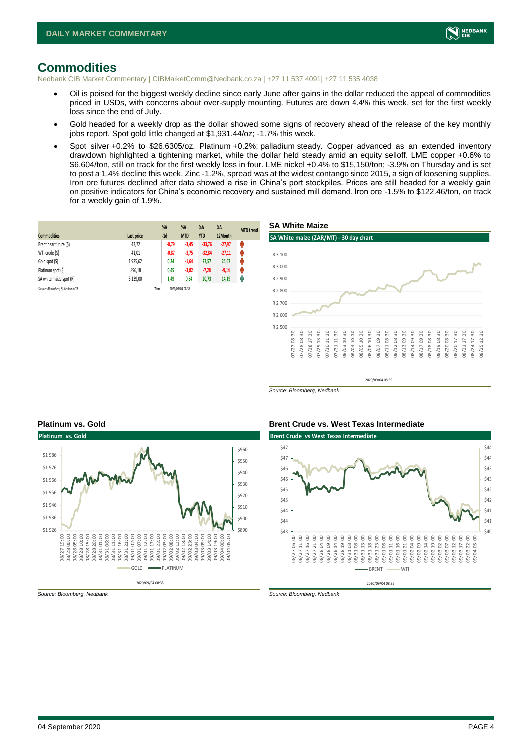

### <span id="page-3-0"></span>**Commodities**

Nedbank CIB Market Commentary | CIBMarketComm@Nedbank.co.za | +27 11 537 4091| +27 11 535 4038

- Oil is poised for the biggest weekly decline since early June after gains in the dollar reduced the appeal of commodities priced in USDs, with concerns about over-supply mounting. Futures are down 4.4% this week, set for the first weekly loss since the end of July.
- Gold headed for a weekly drop as the dollar showed some signs of recovery ahead of the release of the key monthly jobs report. Spot gold little changed at \$1,931.44/oz; -1.7% this week.
- Spot silver +0.2% to \$26.6305/oz. Platinum +0.2%; palladium steady. Copper advanced as an extended inventory drawdown highlighted a tightening market, while the dollar held steady amid an equity selloff. LME copper +0.6% to \$6,604/ton, still on track for the first weekly loss in four. LME nickel +0.4% to \$15,150/ton; -3.9% on Thursday and is set to post a 1.4% decline this week. Zinc -1.2%, spread was at the widest contango since 2015, a sign of loosening supplies. Iron ore futures declined after data showed a rise in China's port stockpiles. Prices are still headed for a weekly gain on positive indicators for China's economic recovery and sustained mill demand. Iron ore -1.5% to \$122.46/ton, on track for a weekly gain of 1.9%.

|                                 |            | $%$ $\Delta$ | $\%$ $\Delta$    | $% \Delta$ | $\%$ $\Delta$ | <b>MTD</b> trend |
|---------------------------------|------------|--------------|------------------|------------|---------------|------------------|
| <b>Commodities</b>              | Last price | $-1d$        | <b>MTD</b>       | <b>YTD</b> | 12Month       |                  |
| Brent near future (\$)          | 43,72      | $-0,79$      | $-3,45$          | $-33,76$   | $-27,97$      | ψ                |
| WTI crude (\$)                  | 41,01      | $-0,87$      | $-3,75$          | $-32,84$   | $-27,11$      | Ŵ                |
| Gold spot (\$)                  | 1935.62    | 0,24         | $-1,64$          | 27,57      | 24,67         | U                |
| Platinum spot (\$)              | 896,18     | 0,45         | $-3,82$          | $-7,28$    | $-9,14$       | N۷               |
| SA white maize spot (R)         | 3 139.00   | 1,49         | 0,64             | 20,73      | 14,19         | Ĥ                |
| Source: Bloomberg & Nedbank CIB |            | Time         | 2020/09/04 08:35 |            |               |                  |



*Source: Bloomberg, Nedbank*





*Source: Bloomberg, Nedbank Source: Bloomberg, Nedbank*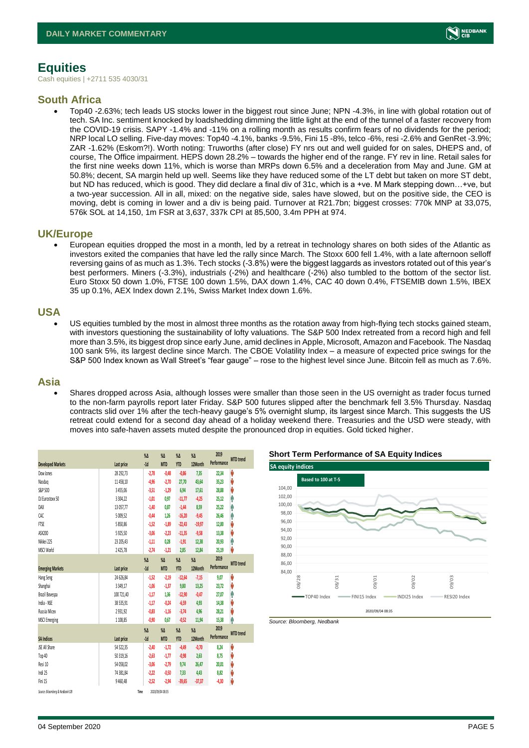

# <span id="page-4-0"></span>**Equities**

Cash equities | +2711 535 4030/31

### **South Africa**

• Top40 -2.63%; tech leads US stocks lower in the biggest rout since June; NPN -4.3%, in line with global rotation out of tech. SA Inc. sentiment knocked by loadshedding dimming the little light at the end of the tunnel of a faster recovery from the COVID-19 crisis. SAPY -1.4% and -11% on a rolling month as results confirm fears of no dividends for the period; NRP local LO selling. Five-day moves: Top40 -4.1%, banks -9.5%, Fini 15 -8%, telco -6%, resi -2.6% and GenRet -3.9%; ZAR -1.62% (Eskom?!). Worth noting: Truworths (after close) FY nrs out and well guided for on sales, DHEPS and, of course, The Office impairment. HEPS down 28.2% – towards the higher end of the range. FY rev in line. Retail sales for the first nine weeks down 11%, which is worse than MRPs down 6.5% and a deceleration from May and June. GM at 50.8%; decent, SA margin held up well. Seems like they have reduced some of the LT debt but taken on more ST debt, but ND has reduced, which is good. They did declare a final div of 31c, which is a +ve. M Mark stepping down…+ve, but a two-year succession. All in all, mixed: on the negative side, sales have slowed, but on the positive side, the CEO is moving, debt is coming in lower and a div is being paid. Turnover at R21.7bn; biggest crosses: 770k MNP at 33,075, 576k SOL at 14,150, 1m FSR at 3,637, 337k CPI at 85,500, 3.4m PPH at 974.

### **UK/Europe**

• European equities dropped the most in a month, led by a retreat in technology shares on both sides of the Atlantic as investors exited the companies that have led the rally since March. The Stoxx 600 fell 1.4%, with a late afternoon selloff reversing gains of as much as 1.3%. Tech stocks (-3.8%) were the biggest laggards as investors rotated out of this year's best performers. Miners (-3.3%), industrials (-2%) and healthcare (-2%) also tumbled to the bottom of the sector list. Euro Stoxx 50 down 1.0%, FTSE 100 down 1.5%, DAX down 1.4%, CAC 40 down 0.4%, FTSEMIB down 1.5%, IBEX 35 up 0.1%, AEX Index down 2.1%, Swiss Market Index down 1.6%.

### **USA**

• US equities tumbled by the most in almost three months as the rotation away from high-flying tech stocks gained steam, with investors questioning the sustainability of lofty valuations. The S&P 500 Index retreated from a record high and fell more than 3.5%, its biggest drop since early June, amid declines in Apple, Microsoft, Amazon and Facebook. The Nasdaq 100 sank 5%, its largest decline since March. The CBOE Volatility Index – a measure of expected price swings for the S&P 500 Index known as Wall Street's "fear gauge" – rose to the highest level since June. Bitcoin fell as much as 7.6%.

### **Asia**

• Shares dropped across Asia, although losses were smaller than those seen in the US overnight as trader focus turned to the non-farm payrolls report later Friday. S&P 500 futures slipped after the benchmark fell 3.5% Thursday. Nasdaq contracts slid over 1% after the tech-heavy gauge's 5% overnight slump, its largest since March. This suggests the US retreat could extend for a second day ahead of a holiday weekend there. Treasuries and the USD were steady, with moves into safe-haven assets muted despite the pronounced drop in equities. Gold ticked higher.

|                                  |             | $\%$    | $\%$ $\Delta$    | $\%$ $\Delta$ | $\%$     | 2019        | <b>MTD</b> trend |
|----------------------------------|-------------|---------|------------------|---------------|----------|-------------|------------------|
| <b>Developed Markets</b>         | Last price  | $-1d$   | <b>MTD</b>       | <b>YTD</b>    | 12Month  | Performance |                  |
| Dow Jones                        | 28 29 2, 73 | $-2,78$ | $-0,48$          | $-0,86$       | 7,35     | 22,34       | V                |
| Nasdaq                           | 11 458,10   | -4,96   | $-2,70$          | 27,70         | 43,64    | 35,23       | V                |
| S&P 500                          | 3455,06     | $-3,51$ | $-1,29$          | 6,94          | 17,61    | 28,88       | V                |
| DJ Eurostoxx 50                  | 3 3 0 4 2 2 | $-1,01$ | 0,97             | $-11,77$      | $-4,25$  | 25,12       | Α                |
| DAX                              | 13 057,77   | $-1,40$ | 0.87             | $-1,44$       | 8,59     | 25,22       | Ą                |
| CAC                              | 5 009,52    | $-0,44$ | 1,26             | $-16,20$      | $-9,45$  | 26,46       | ٨                |
| <b>FTSE</b>                      | 5 850,86    | $-1,52$ | $-1,89$          | $-22,43$      | $-19,97$ | 12,00       | V                |
| ASX200                           | 5925,50     | $-3,06$ | $-2,23$          | $-11,35$      | $-9,58$  | 13,38       | V                |
| Nikkei 225                       | 23 205,43   | $-1,11$ | 0,28             | $-1,91$       | 12,38    | 20,93       | ٨                |
| MSCI World                       | 2425,78     | $-2,74$ | $-1,21$          | 2,85          | 12,84    | 25,19       | V                |
|                                  |             | $\%$    | $\%$ $\Delta$    | $\%$ $\Delta$ | $\%$     | 2019        | <b>MTD</b> trend |
| <b>Emerging Markets</b>          | Last price  | $-1d$   | <b>MTD</b>       | <b>YTD</b>    | 12Month  | Performance |                  |
| Hang Seng                        | 24 626,84   | $-1,52$ | $-2,19$          | $-12,64$      | $-7,15$  | 9,07        | V                |
| Shanghai                         | 3 3 4 9, 17 | $-1,06$ | $-1,37$          | 9,80          | 13,25    | 23,72       | V                |
| Brazil Bovespa                   | 100 721,40  | $-1,17$ | 1,36             | $-12,90$      | $-0.47$  | 27,07       | Α                |
| India - NSE                      | 38 535,91   | $-1,17$ | $-0,24$          | $-6,59$       | 4,93     | 14,38       | V                |
| Russia Micex                     | 2931,92     | $-0,83$ | $-1,16$          | $-3,74$       | 4,96     | 28,21       | V                |
| <b>MSCI Emerging</b>             | 1 1 08,85   | $-0,90$ | 0,67             | $-0,52$       | 11,94    | 15,38       | ⋒                |
|                                  |             | $\%$    | $\%$ $\Delta$    | $\%$ $\Delta$ | $\%$     | 2019        |                  |
| <b>SA Indices</b>                | Last price  | $-1d$   | <b>MTD</b>       | <b>YTD</b>    | 12Month  | Performance | <b>MTD</b> trend |
| <b>JSE All Share</b>             | 54 522,35   | $-2,40$ | $-1, 72$         | $-4,49$       | $-0,70$  | 8,24        | V                |
| Top 40                           | 50 319,16   | $-2,63$ | $-1, 77$         | $-0.98$       | 2,63     | 8,75        | V                |
| Resi 10                          | 54 058,02   | $-3,06$ | $-2,79$          | 9,74          | 26,47    | 20,01       | V                |
| Indi 25                          | 74 381,84   | $-2,22$ | $-0,50$          | 7,33          | 4,43     | 8,82        | V                |
| Fini 15                          | 9 460,48    | $-2,52$ | $-2,94$          | $-39,65$      | $-37,37$ | $-4,30$     | V                |
| Courre: Rinnmhorn & Northank CIR |             | Time    | 20-80 M/Aningrad |               |          |             |                  |





*Source: Bloomberg, Nedbank*

*Source: Bloomberg & Nedbank CIB* **Time**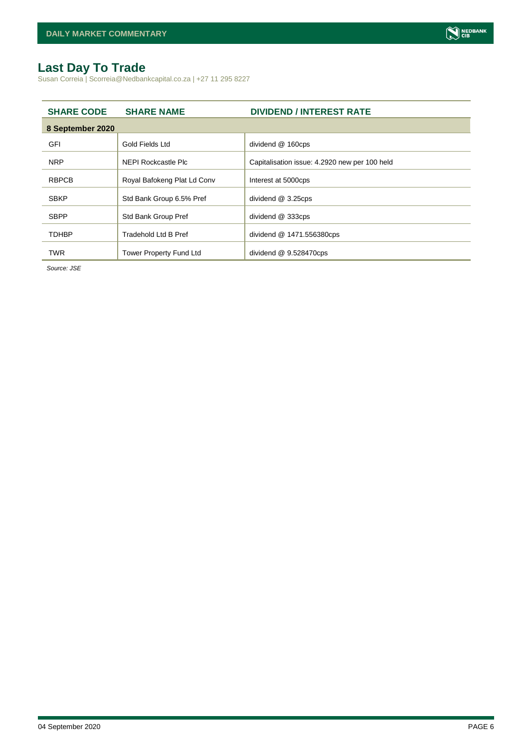# <span id="page-5-0"></span>**Last Day To Trade**

Susan Correia | Scorreia@Nedbankcapital.co.za | +27 11 295 8227

| <b>SHARE CODE</b> | <b>SHARE NAME</b>              | <b>DIVIDEND / INTEREST RATE</b>               |
|-------------------|--------------------------------|-----------------------------------------------|
| 8 September 2020  |                                |                                               |
| GFI               | Gold Fields Ltd                | dividend @ 160cps                             |
| <b>NRP</b>        | NEPI Rockcastle Plc            | Capitalisation issue: 4.2920 new per 100 held |
| <b>RBPCB</b>      | Royal Bafokeng Plat Ld Conv    | Interest at 5000cps                           |
| <b>SBKP</b>       | Std Bank Group 6.5% Pref       | dividend @ 3.25cps                            |
| <b>SBPP</b>       | Std Bank Group Pref            | dividend @ 333cps                             |
| <b>TDHBP</b>      | <b>Tradehold Ltd B Pref</b>    | dividend @ 1471.556380cps                     |
| <b>TWR</b>        | <b>Tower Property Fund Ltd</b> | dividend $@9.528470cps$                       |

*Source: JSE*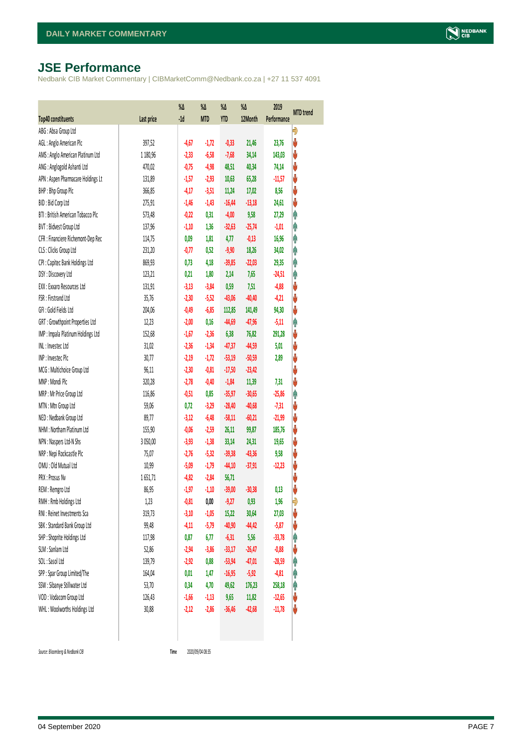# <span id="page-6-0"></span>**JSE Performance**

Nedbank CIB Market Commentary | CIBMarketComm@Nedbank.co.za | +27 11 537 4091

|                                                         |                  | %Δ<br>$-1d$        | %Δ              | %Δ<br><b>YTD</b>   | %Δ           | 2019<br>Performance | <b>MTD</b> trend |
|---------------------------------------------------------|------------------|--------------------|-----------------|--------------------|--------------|---------------------|------------------|
| Top40 constituents<br>ABG: Absa Group Ltd               | Last price       |                    | <b>MTD</b>      |                    | 12Month      |                     | Đ                |
| AGL: Anglo American Plc                                 | 397,52           | $-4,67$            | $-1,72$         | $-0,33$            | 21,46        | 23,76               | V                |
| AMS: Anglo American Platinum Ltd                        | 1 180,96         | $-2,33$            | $-6,58$         | $-7,68$            | 34,14        | 143,03              | V                |
| ANG: Anglogold Ashanti Ltd                              | 470,02           | $-0,75$            | $-4,98$         | 48,51              | 40,34        | 74,14               | V                |
| APN : Aspen Pharmacare Holdings Lt                      | 131,89           | $-1,57$            | $-2,93$         | 10,63              | 65,28        | $-11,57$            | ♦                |
| BHP: Bhp Group Plc                                      | 366,85           | $-4,17$            | $-3,51$         | 11,24              | 17,02        | 8,56                | V                |
| BID: Bid Corp Ltd                                       | 275,91           | $-1,46$            | $-1,43$         | $-16,44$           | $-13,18$     | 24,61               | ψ                |
| BTI: British American Tobacco Plc                       | 573,48           | $-0,22$            | 0,31            | $-4,00$            | 9,58         | 27,29               | φ                |
| BVT: Bidvest Group Ltd                                  | 137,96           | $-1,10$            | 1,36            | $-32,63$           | $-25,74$     | $-1,01$             | Ą                |
| CFR : Financiere Richemont-Dep Rec                      |                  | 0,09               | 1,81            | 4,77               | $-0,13$      | 16,96               | Ą                |
| CLS : Clicks Group Ltd                                  | 114,75<br>231,20 | $-0,77$            | 0,52            | $-9,90$            |              |                     | φ                |
|                                                         |                  |                    | 4,18            | $-39,85$           | 18,26        | 34,02               | φ                |
| CPI : Capitec Bank Holdings Ltd                         | 869,93           | 0,73               |                 |                    | $-22,03$     | 29,35               | Ą                |
| DSY: Discovery Ltd<br>EXX: Exxaro Resources Ltd         | 123,21<br>131,91 | 0,21<br>$-3,13$    | 1,80<br>$-3,84$ | 2,14<br>0,59       | 7,65<br>7,51 | $-24,51$<br>$-4,88$ | ψ                |
| FSR: Firstrand Ltd                                      | 35,76            |                    |                 |                    |              |                     | ψ                |
| GFI: Gold Fields Ltd                                    |                  | $-2,30$<br>$-0,49$ | $-5,52$         | $-43,06$<br>112,85 | $-40,40$     | $-4,21$             | ψ                |
|                                                         | 204,06           |                    | $-6,85$         |                    | 141,49       | 94,30               | Ą                |
| GRT : Growthpoint Properties Ltd                        | 12,23            | $-2,00$            | 0,16            | $-44,69$           | $-47,96$     | $-5,11$             | V                |
| IMP : Impala Platinum Holdings Ltd<br>INL: Investec Ltd | 152,68           | $-1,67$            | $-2,36$         | 6,38               | 76,82        | 291,28              |                  |
|                                                         | 31,02            | $-2,36$            | $-1,34$         | $-47,37$           | $-44,59$     | 5,01                | ψ                |
| INP: Invested Plc                                       | 30,77            | $-2,19$            | $-1,72$         | $-53,19$           | $-50,59$     | 2,89                | ψ                |
| MCG: Multichoice Group Ltd                              | 96,11            | $-2,30$            | $-0,81$         | $-17,50$           | $-23,42$     |                     | V                |
| MNP: Mondi Plc                                          | 320,28           | $-2,78$            | $-0,40$         | $-1,84$            | 11,39        | 7,31                | ψ                |
| MRP : Mr Price Group Ltd                                | 116,86           | $-0,51$            | 0,85            | $-35,97$           | $-30,65$     | $-25,86$            | Ą                |
| MTN: Mtn Group Ltd                                      | 59,06            | 0,72               | $-3,29$         | $-28,40$           | $-40,68$     | $-7,31$             | ψ                |
| NED : Nedbank Group Ltd                                 | 89,77            | $-3,12$            | $-6,48$         | $-58,11$           | $-60,21$     | $-21,99$            | V                |
| NHM: Northam Platinum Ltd                               | 155,90           | $-0,06$            | $-2,59$         | 26,11              | 99,87        | 185,76              | V                |
| NPN : Naspers Ltd-N Shs                                 | 3 050,00         | $-3,93$            | $-1,38$         | 33,14              | 24,31        | 19,65               | ψ                |
| NRP : Nepi Rockcastle Plc                               | 75,07            | $-2,76$            | $-5,32$         | $-39,38$           | $-43,36$     | 9,58                | ψ                |
| OMU: Old Mutual Ltd                                     | 10,99            | $-5,09$            | $-1,79$         | $-44,10$           | $-37,91$     | $-12,23$            | V                |
| PRX: Prosus Nv                                          | 1651,71          | $-4,82$            | $-2,84$         | 56,71              |              |                     | ψ                |
| REM : Remgro Ltd                                        | 86,95            | $-1,97$            | $-1,10$         | $-39,00$           | $-30,38$     | 0,13                | V                |
| RMH: Rmb Holdings Ltd                                   | 1,23             | $-0,81$            | 0,00            | $-9,27$            | 0,93         | 1,96                | Đ                |
| RNI : Reinet Investments Sca                            | 319,73           | $-3,10$            | $-1,05$         | 15,22              | 30,64        | 27,03               | ψ                |
| SBK: Standard Bank Group Ltd                            | 99,48            | $-4,11$            | $-5,79$         | $-40,90$           | $-44,42$     | $-5,87$             | ψ                |
| SHP: Shoprite Holdings Ltd                              | 117,98           | 0,87               | 6,77            | $-6,31$            | 5,56         | $-33,78$            | φ                |
| SLM : Sanlam Ltd                                        | 52,86            | $-2,94$            | $-3,86$         | $-33,17$           | $-26,47$     | $-0,88$             | ψ                |
| SOL: Sasol Ltd                                          | 139,79           | $-2,92$            | 0,88            | $-53,94$           | $-47,01$     | $-28,59$            | φ                |
| SPP: Spar Group Limited/The                             | 164,04           | 0,01               | 1,47            | $-16,95$           | $-5,92$      | $-4,81$             | φ                |
| SSW : Sibanye Stillwater Ltd                            | 53,70            | 0,34               | 4,70            | 49,62              | 176,23       | 258,18              | φ                |
| VOD: Vodacom Group Ltd                                  | 126,43           | $-1,66$            | $-1,13$         | 9,65               | 11,82        | $-12,65$            | ψ                |
| WHL: Woolworths Holdings Ltd                            | 30,88            | $-2,12$            | $-2,86$         | $-36,46$           | $-42,68$     | $-11,78$            | V                |
|                                                         |                  |                    |                 |                    |              |                     |                  |

 $Source: Bloomberg & Nedbank *CB*$ 

2020/09/04 08:35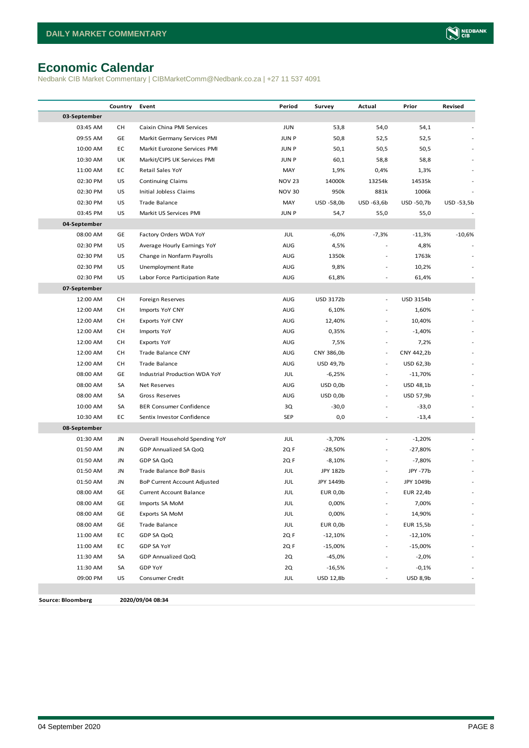# <span id="page-7-0"></span>**Economic Calendar**

Nedbank CIB Market Commentary | CIBMarketComm@Nedbank.co.za | +27 11 537 4091

|                          | Country    | Event                          | Period        | Survey          | Actual                   | Prior            | Revised    |
|--------------------------|------------|--------------------------------|---------------|-----------------|--------------------------|------------------|------------|
| 03-September             |            |                                |               |                 |                          |                  |            |
| 03:45 AM                 | CН         | Caixin China PMI Services      | <b>JUN</b>    | 53,8            | 54,0                     | 54,1             |            |
| 09:55 AM                 | GE         | Markit Germany Services PMI    | <b>JUN P</b>  | 50,8            | 52,5                     | 52,5             |            |
| 10:00 AM                 | EC         | Markit Eurozone Services PMI   | <b>JUNP</b>   | 50,1            | 50,5                     | 50,5             |            |
| 10:30 AM                 | UK         | Markit/CIPS UK Services PMI    | <b>JUN P</b>  | 60,1            | 58,8                     | 58,8             |            |
| 11:00 AM                 | EC         | Retail Sales YoY               | MAY           | 1,9%            | 0,4%                     | 1,3%             |            |
| 02:30 PM                 | US         | <b>Continuing Claims</b>       | <b>NOV 23</b> | 14000k          | 13254k                   | 14535k           |            |
| 02:30 PM                 | US         | Initial Jobless Claims         | <b>NOV 30</b> | 950k            | 881k                     | 1006k            |            |
| 02:30 PM                 | US         | Trade Balance                  | MAY           | USD -58,0b      | USD -63,6b               | USD -50,7b       | USD -53,5b |
| 03:45 PM                 | US         | Markit US Services PMI         | <b>JUNP</b>   | 54,7            | 55,0                     | 55,0             |            |
| 04-September             |            |                                |               |                 |                          |                  |            |
| 08:00 AM                 | GE         | Factory Orders WDA YoY         | JUL           | $-6,0%$         | $-7,3%$                  | $-11,3%$         | $-10,6%$   |
| 02:30 PM                 | US         | Average Hourly Earnings YoY    | AUG           | 4,5%            |                          | 4,8%             |            |
| 02:30 PM                 | US         | Change in Nonfarm Payrolls     | AUG           | 1350k           |                          | 1763k            |            |
| 02:30 PM                 | US         | Unemployment Rate              | AUG           | 9,8%            |                          | 10,2%            |            |
| 02:30 PM                 | US         | Labor Force Participation Rate | AUG           | 61,8%           |                          | 61,4%            |            |
| 07-September             |            |                                |               |                 |                          |                  |            |
| 12:00 AM                 | CН         | Foreign Reserves               | AUG           | USD 3172b       | $\overline{a}$           | USD 3154b        |            |
| 12:00 AM                 | CН         | Imports YoY CNY                | AUG           | 6,10%           |                          | 1,60%            |            |
| 12:00 AM                 | CН         | Exports YoY CNY                | AUG           | 12,40%          |                          | 10,40%           |            |
| 12:00 AM                 | CН         | Imports YoY                    | AUG           | 0,35%           | $\overline{a}$           | $-1,40%$         |            |
| 12:00 AM                 | CН         | <b>Exports YoY</b>             | AUG           | 7,5%            | $\overline{\phantom{a}}$ | 7,2%             |            |
| 12:00 AM                 | СH         | Trade Balance CNY              | AUG           | CNY 386,0b      | $\sim$                   | CNY 442,2b       |            |
| 12:00 AM                 | СH         | Trade Balance                  | AUG           | USD 49,7b       | $\overline{\phantom{a}}$ | USD 62,3b        |            |
| 08:00 AM                 | GE         | Industrial Production WDA YoY  | JUL           | $-6,25%$        | $\overline{\phantom{a}}$ | $-11,70%$        |            |
| 08:00 AM                 | SA         | Net Reserves                   | AUG           | $USD$ 0,0 $b$   | $\overline{\phantom{a}}$ | USD 48,1b        |            |
| 08:00 AM                 | SA         | Gross Reserves                 | AUG           | $USD$ 0,0 $b$   | $\overline{\phantom{a}}$ | USD 57,9b        |            |
| 10:00 AM                 | SA         | <b>BER Consumer Confidence</b> | 3Q            | $-30,0$         |                          | $-33,0$          |            |
| 10:30 AM                 | EC         | Sentix Investor Confidence     | <b>SEP</b>    | 0,0             |                          | $-13,4$          |            |
| 08-September             |            |                                |               |                 |                          |                  |            |
| 01:30 AM                 | JN         | Overall Household Spending YoY | JUL           | $-3,70%$        |                          | $-1,20%$         |            |
| 01:50 AM                 | JN         | GDP Annualized SA QoQ          | 2Q F          | -28,50%         |                          | -27,80%          |            |
| 01:50 AM                 | JN         | GDP SA QoQ                     | 2Q F          | $-8,10%$        |                          | $-7,80%$         |            |
| 01:50 AM                 | JN         | Trade Balance BoP Basis        | JUL           | JPY 182b        |                          | JPY -77b         |            |
| 01:50 AM                 | JN         | BoP Current Account Adjusted   | JUL           | JPY 1449b       |                          | JPY 1049b        |            |
| 08:00 AM                 | ${\sf GE}$ | <b>Current Account Balance</b> | JUL           | <b>EUR 0,0b</b> |                          | <b>EUR 22,4b</b> |            |
| 08:00 AM                 | GE         | Imports SA MoM                 | JUL           | 0,00%           |                          | 7,00%            |            |
| 08:00 AM                 | GE         | Exports SA MoM                 | JUL           | 0,00%           | $\overline{a}$           | 14,90%           |            |
| 08:00 AM                 | GE         | Trade Balance                  | JUL           | <b>EUR 0,0b</b> | $\overline{\phantom{a}}$ | <b>EUR 15,5b</b> |            |
| 11:00 AM                 | EC         | GDP SA QoQ                     | 2QF           | $-12,10%$       | $\overline{\phantom{a}}$ | $-12,10%$        |            |
| 11:00 AM                 | EC         | GDP SA YoY                     | 2QF           | $-15,00%$       | $\overline{a}$           | $-15,00%$        |            |
| 11:30 AM                 | SA         | GDP Annualized QoQ             | 2Q            | $-45,0%$        | ä,                       | $-2,0%$          |            |
| 11:30 AM                 | SA         | GDP YoY                        | 2Q            | $-16,5%$        |                          | $-0,1%$          |            |
| 09:00 PM                 | US         | Consumer Credit                | JUL           | USD 12,8b       | $\overline{\phantom{a}}$ | <b>USD 8,9b</b>  |            |
|                          |            |                                |               |                 |                          |                  |            |
| <b>Source: Bloomberg</b> |            | 2020/09/04 08:34               |               |                 |                          |                  |            |